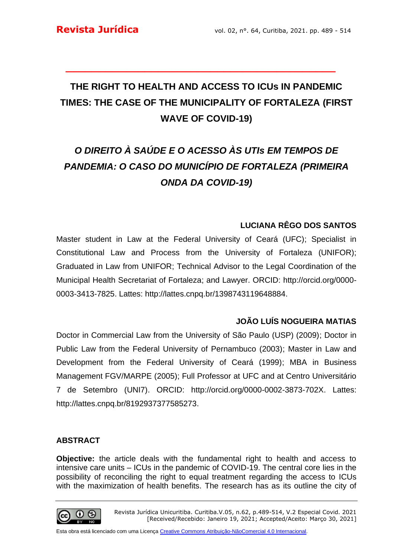# **THE RIGHT TO HEALTH AND ACCESS TO ICUs IN PANDEMIC TIMES: THE CASE OF THE MUNICIPALITY OF FORTALEZA (FIRST WAVE OF COVID-19)**

**\_\_\_\_\_\_\_\_\_\_\_\_\_\_\_\_\_\_\_\_\_\_\_\_\_\_\_\_\_\_\_\_\_\_\_\_\_\_\_\_\_**

# *O DIREITO À SAÚDE E O ACESSO ÀS UTIs EM TEMPOS DE PANDEMIA: O CASO DO MUNICÍPIO DE FORTALEZA (PRIMEIRA ONDA DA COVID-19)*

## **LUCIANA RÊGO DOS SANTOS**

Master student in Law at the Federal University of Ceará (UFC); Specialist in Constitutional Law and Process from the University of Fortaleza (UNIFOR); Graduated in Law from UNIFOR; Technical Advisor to the Legal Coordination of the Municipal Health Secretariat of Fortaleza; and Lawyer. ORCID: http://orcid.org/0000- 0003-3413-7825. Lattes: http://lattes.cnpq.br/1398743119648884.

## **JOÃO LUÍS NOGUEIRA MATIAS**

Doctor in Commercial Law from the University of São Paulo (USP) (2009); Doctor in Public Law from the Federal University of Pernambuco (2003); Master in Law and Development from the Federal University of Ceará (1999); MBA in Business Management FGV/MARPE (2005); Full Professor at UFC and at Centro Universitário 7 de Setembro (UNI7). ORCID: http://orcid.org/0000-0002-3873-702X. Lattes: http://lattes.cnpq.br/8192937377585273.

## **ABSTRACT**

**Objective:** the article deals with the fundamental right to health and access to intensive care units – ICUs in the pandemic of COVID-19. The central core lies in the possibility of reconciling the right to equal treatment regarding the access to ICUs with the maximization of health benefits. The research has as its outline the city of

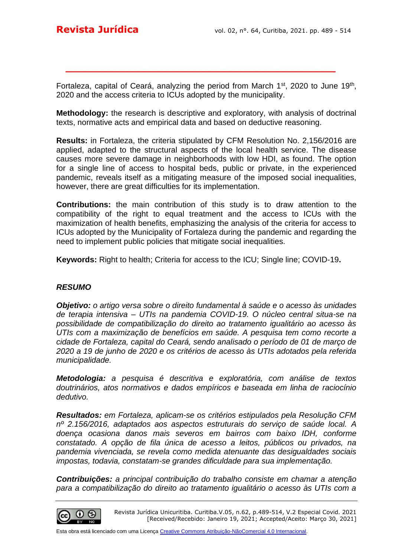Fortaleza, capital of Ceará, analyzing the period from March 1<sup>st</sup>, 2020 to June 19<sup>th</sup>, 2020 and the access criteria to ICUs adopted by the municipality.

**\_\_\_\_\_\_\_\_\_\_\_\_\_\_\_\_\_\_\_\_\_\_\_\_\_\_\_\_\_\_\_\_\_\_\_\_\_\_\_\_\_**

**Methodology:** the research is descriptive and exploratory, with analysis of doctrinal texts, normative acts and empirical data and based on deductive reasoning.

**Results:** in Fortaleza, the criteria stipulated by CFM Resolution No. 2,156/2016 are applied, adapted to the structural aspects of the local health service. The disease causes more severe damage in neighborhoods with low HDI, as found. The option for a single line of access to hospital beds, public or private, in the experienced pandemic, reveals itself as a mitigating measure of the imposed social inequalities, however, there are great difficulties for its implementation.

**Contributions:** the main contribution of this study is to draw attention to the compatibility of the right to equal treatment and the access to ICUs with the maximization of health benefits, emphasizing the analysis of the criteria for access to ICUs adopted by the Municipality of Fortaleza during the pandemic and regarding the need to implement public policies that mitigate social inequalities.

**Keywords:** Right to health; Criteria for access to the ICU; Single line; COVID-19**.**

#### *RESUMO*

*Objetivo: o artigo versa sobre o direito fundamental à saúde e o acesso às unidades de terapia intensiva – UTIs na pandemia COVID-19. O núcleo central situa-se na possibilidade de compatibilização do direito ao tratamento igualitário ao acesso às UTIs com a maximização de benefícios em saúde. A pesquisa tem como recorte a cidade de Fortaleza, capital do Ceará, sendo analisado o período de 01 de março de 2020 a 19 de junho de 2020 e os critérios de acesso às UTIs adotados pela referida municipalidade.* 

*Metodologia: a pesquisa é descritiva e exploratória, com análise de textos doutrinários, atos normativos e dados empíricos e baseada em linha de raciocínio dedutivo.*

*Resultados: em Fortaleza, aplicam-se os critérios estipulados pela Resolução CFM nº 2.156/2016, adaptados aos aspectos estruturais do serviço de saúde local. A doença ocasiona danos mais severos em bairros com baixo IDH, conforme constatado. A opção de fila única de acesso a leitos, públicos ou privados, na pandemia vivenciada, se revela como medida atenuante das desigualdades sociais impostas, todavia, constatam-se grandes dificuldade para sua implementação.*

*Contribuições: a principal contribuição do trabalho consiste em chamar a atenção*  para a compatibilização do direito ao tratamento igualitário o acesso às UTIs com a

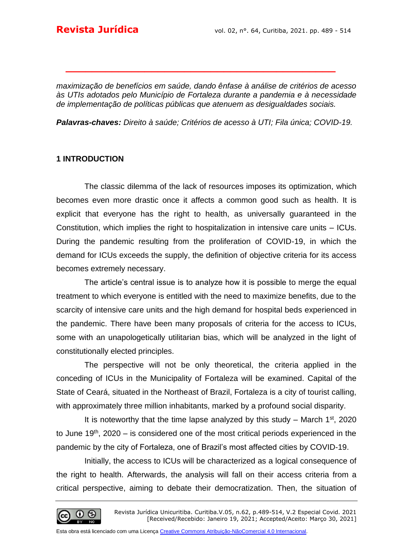*maximização de benefícios em saúde, dando ênfase à análise de critérios de acesso às UTIs adotados pelo Município de Fortaleza durante a pandemia e à necessidade de implementação de políticas públicas que atenuem as desigualdades sociais.*

**\_\_\_\_\_\_\_\_\_\_\_\_\_\_\_\_\_\_\_\_\_\_\_\_\_\_\_\_\_\_\_\_\_\_\_\_\_\_\_\_\_**

*Palavras-chaves: Direito à saúde; Critérios de acesso à UTI; Fila única; COVID-19.* 

### **1 INTRODUCTION**

The classic dilemma of the lack of resources imposes its optimization, which becomes even more drastic once it affects a common good such as health. It is explicit that everyone has the right to health, as universally guaranteed in the Constitution, which implies the right to hospitalization in intensive care units – ICUs. During the pandemic resulting from the proliferation of COVID-19, in which the demand for ICUs exceeds the supply, the definition of objective criteria for its access becomes extremely necessary.

The article's central issue is to analyze how it is possible to merge the equal treatment to which everyone is entitled with the need to maximize benefits, due to the scarcity of intensive care units and the high demand for hospital beds experienced in the pandemic. There have been many proposals of criteria for the access to ICUs, some with an unapologetically utilitarian bias, which will be analyzed in the light of constitutionally elected principles.

The perspective will not be only theoretical, the criteria applied in the conceding of ICUs in the Municipality of Fortaleza will be examined. Capital of the State of Ceará, situated in the Northeast of Brazil, Fortaleza is a city of tourist calling, with approximately three million inhabitants, marked by a profound social disparity.

It is noteworthy that the time lapse analyzed by this study – March  $1<sup>st</sup>$ , 2020 to June  $19<sup>th</sup>$ , 2020 – is considered one of the most critical periods experienced in the pandemic by the city of Fortaleza, one of Brazil's most affected cities by COVID-19.

Initially, the access to ICUs will be characterized as a logical consequence of the right to health. Afterwards, the analysis will fall on their access criteria from a critical perspective, aiming to debate their democratization. Then, the situation of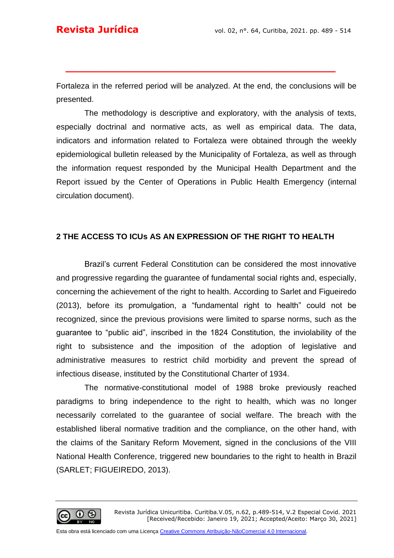Fortaleza in the referred period will be analyzed. At the end, the conclusions will be presented.

**\_\_\_\_\_\_\_\_\_\_\_\_\_\_\_\_\_\_\_\_\_\_\_\_\_\_\_\_\_\_\_\_\_\_\_\_\_\_\_\_\_**

The methodology is descriptive and exploratory, with the analysis of texts, especially doctrinal and normative acts, as well as empirical data. The data, indicators and information related to Fortaleza were obtained through the weekly epidemiological bulletin released by the Municipality of Fortaleza, as well as through the information request responded by the Municipal Health Department and the Report issued by the Center of Operations in Public Health Emergency (internal circulation document).

## **2 THE ACCESS TO ICUs AS AN EXPRESSION OF THE RIGHT TO HEALTH**

Brazil's current Federal Constitution can be considered the most innovative and progressive regarding the guarantee of fundamental social rights and, especially, concerning the achievement of the right to health. According to Sarlet and Figueiredo (2013), before its promulgation, a "fundamental right to health" could not be recognized, since the previous provisions were limited to sparse norms, such as the guarantee to "public aid", inscribed in the 1824 Constitution, the inviolability of the right to subsistence and the imposition of the adoption of legislative and administrative measures to restrict child morbidity and prevent the spread of infectious disease, instituted by the Constitutional Charter of 1934.

The normative-constitutional model of 1988 broke previously reached paradigms to bring independence to the right to health, which was no longer necessarily correlated to the guarantee of social welfare. The breach with the established liberal normative tradition and the compliance, on the other hand, with the claims of the Sanitary Reform Movement, signed in the conclusions of the VIII National Health Conference, triggered new boundaries to the right to health in Brazil (SARLET; FIGUEIREDO, 2013).

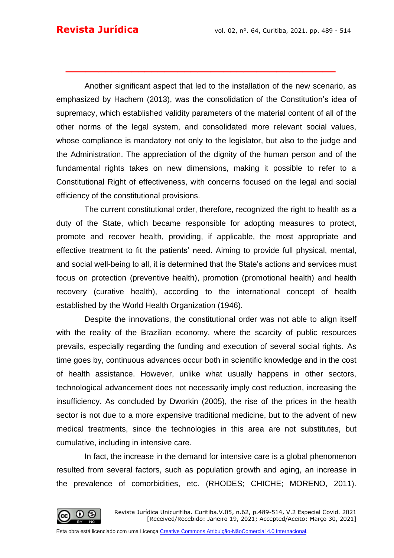Another significant aspect that led to the installation of the new scenario, as emphasized by Hachem (2013), was the consolidation of the Constitution's idea of supremacy, which established validity parameters of the material content of all of the other norms of the legal system, and consolidated more relevant social values, whose compliance is mandatory not only to the legislator, but also to the judge and the Administration. The appreciation of the dignity of the human person and of the fundamental rights takes on new dimensions, making it possible to refer to a Constitutional Right of effectiveness, with concerns focused on the legal and social efficiency of the constitutional provisions.

**\_\_\_\_\_\_\_\_\_\_\_\_\_\_\_\_\_\_\_\_\_\_\_\_\_\_\_\_\_\_\_\_\_\_\_\_\_\_\_\_\_**

The current constitutional order, therefore, recognized the right to health as a duty of the State, which became responsible for adopting measures to protect, promote and recover health, providing, if applicable, the most appropriate and effective treatment to fit the patients' need. Aiming to provide full physical, mental, and social well-being to all, it is determined that the State's actions and services must focus on protection (preventive health), promotion (promotional health) and health recovery (curative health), according to the international concept of health established by the World Health Organization (1946).

Despite the innovations, the constitutional order was not able to align itself with the reality of the Brazilian economy, where the scarcity of public resources prevails, especially regarding the funding and execution of several social rights. As time goes by, continuous advances occur both in scientific knowledge and in the cost of health assistance. However, unlike what usually happens in other sectors, technological advancement does not necessarily imply cost reduction, increasing the insufficiency. As concluded by Dworkin (2005), the rise of the prices in the health sector is not due to a more expensive traditional medicine, but to the advent of new medical treatments, since the technologies in this area are not substitutes, but cumulative, including in intensive care.

In fact, the increase in the demand for intensive care is a global phenomenon resulted from several factors, such as population growth and aging, an increase in the prevalence of comorbidities, etc. (RHODES; CHICHE; MORENO, 2011).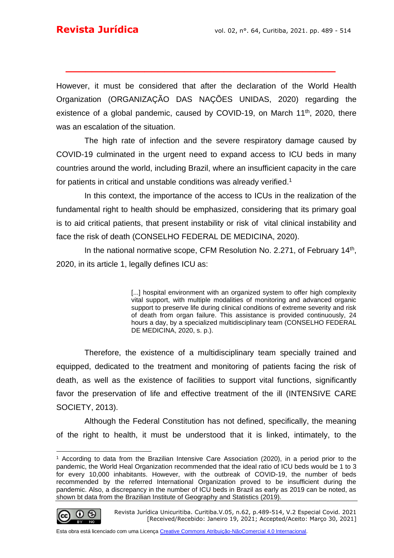However, it must be considered that after the declaration of the World Health Organization (ORGANIZAÇÃO DAS NAÇÕES UNIDAS, 2020) regarding the existence of a global pandemic, caused by COVID-19, on March  $11<sup>th</sup>$ , 2020, there was an escalation of the situation.

**\_\_\_\_\_\_\_\_\_\_\_\_\_\_\_\_\_\_\_\_\_\_\_\_\_\_\_\_\_\_\_\_\_\_\_\_\_\_\_\_\_**

The high rate of infection and the severe respiratory damage caused by COVID-19 culminated in the urgent need to expand access to ICU beds in many countries around the world, including Brazil, where an insufficient capacity in the care for patients in critical and unstable conditions was already verified.<sup>1</sup>

In this context, the importance of the access to ICUs in the realization of the fundamental right to health should be emphasized, considering that its primary goal is to aid critical patients, that present instability or risk of vital clinical instability and face the risk of death (CONSELHO FEDERAL DE MEDICINA, 2020).

In the national normative scope, CFM Resolution No. 2.271, of February 14<sup>th</sup>, 2020, in its article 1, legally defines ICU as:

> [...] hospital environment with an organized system to offer high complexity vital support, with multiple modalities of monitoring and advanced organic support to preserve life during clinical conditions of extreme severity and risk of death from organ failure. This assistance is provided continuously, 24 hours a day, by a specialized multidisciplinary team (CONSELHO FEDERAL DE MEDICINA, 2020, s. p.).

Therefore, the existence of a multidisciplinary team specially trained and equipped, dedicated to the treatment and monitoring of patients facing the risk of death, as well as the existence of facilities to support vital functions, significantly favor the preservation of life and effective treatment of the ill (INTENSIVE CARE SOCIETY, 2013).

Although the Federal Constitution has not defined, specifically, the meaning of the right to health, it must be understood that it is linked, intimately, to the

$$
\textcircled{\tiny{}}\bullet \textcircled{\tiny{*}}
$$

<sup>1</sup> According to data from the Brazilian Intensive Care Association (2020), in a period prior to the pandemic, the World Heal Organization recommended that the ideal ratio of ICU beds would be 1 to 3 for every 10,000 inhabitants. However, with the outbreak of COVID-19, the number of beds recommended by the referred International Organization proved to be insufficient during the pandemic. Also, a discrepancy in the number of ICU beds in Brazil as early as 2019 can be noted, as shown bt data from the Brazilian Institute of Geography and Statistics (2019).

Revista Jurídica Unicuritiba. Curitiba.V.05, n.62, p.489-514, V.2 Especial Covid. 2021 [Received/Recebido: Janeiro 19, 2021; Accepted/Aceito: Março 30, 2021]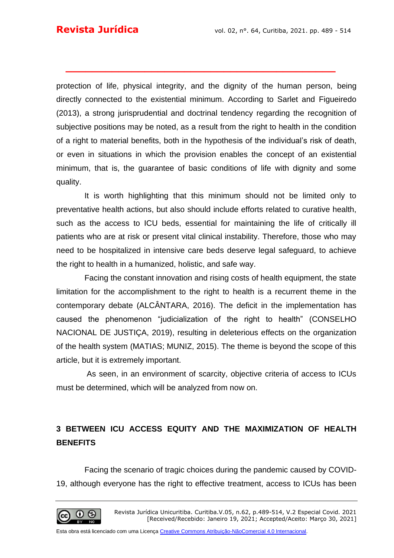protection of life, physical integrity, and the dignity of the human person, being directly connected to the existential minimum. According to Sarlet and Figueiredo (2013), a strong jurisprudential and doctrinal tendency regarding the recognition of subjective positions may be noted, as a result from the right to health in the condition of a right to material benefits, both in the hypothesis of the individual's risk of death, or even in situations in which the provision enables the concept of an existential minimum, that is, the guarantee of basic conditions of life with dignity and some quality.

**\_\_\_\_\_\_\_\_\_\_\_\_\_\_\_\_\_\_\_\_\_\_\_\_\_\_\_\_\_\_\_\_\_\_\_\_\_\_\_\_\_**

It is worth highlighting that this minimum should not be limited only to preventative health actions, but also should include efforts related to curative health, such as the access to ICU beds, essential for maintaining the life of critically ill patients who are at risk or present vital clinical instability. Therefore, those who may need to be hospitalized in intensive care beds deserve legal safeguard, to achieve the right to health in a humanized, holistic, and safe way.

Facing the constant innovation and rising costs of health equipment, the state limitation for the accomplishment to the right to health is a recurrent theme in the contemporary debate (ALCÂNTARA, 2016). The deficit in the implementation has caused the phenomenon "judicialization of the right to health" (CONSELHO NACIONAL DE JUSTIÇA, 2019), resulting in deleterious effects on the organization of the health system (MATIAS; MUNIZ, 2015). The theme is beyond the scope of this article, but it is extremely important.

As seen, in an environment of scarcity, objective criteria of access to ICUs must be determined, which will be analyzed from now on.

## **3 BETWEEN ICU ACCESS EQUITY AND THE MAXIMIZATION OF HEALTH BENEFITS**

Facing the scenario of tragic choices during the pandemic caused by COVID-19, although everyone has the right to effective treatment, access to ICUs has been

(cc) |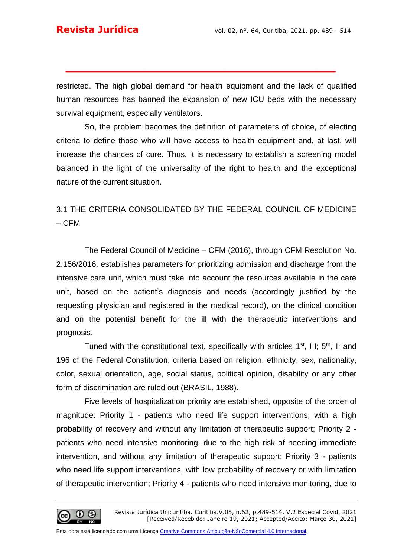restricted. The high global demand for health equipment and the lack of qualified human resources has banned the expansion of new ICU beds with the necessary survival equipment, especially ventilators.

**\_\_\_\_\_\_\_\_\_\_\_\_\_\_\_\_\_\_\_\_\_\_\_\_\_\_\_\_\_\_\_\_\_\_\_\_\_\_\_\_\_**

So, the problem becomes the definition of parameters of choice, of electing criteria to define those who will have access to health equipment and, at last, will increase the chances of cure. Thus, it is necessary to establish a screening model balanced in the light of the universality of the right to health and the exceptional nature of the current situation.

## 3.1 THE CRITERIA CONSOLIDATED BY THE FEDERAL COUNCIL OF MEDICINE – CFM

The Federal Council of Medicine – CFM (2016), through CFM Resolution No. 2.156/2016, establishes parameters for prioritizing admission and discharge from the intensive care unit, which must take into account the resources available in the care unit, based on the patient's diagnosis and needs (accordingly justified by the requesting physician and registered in the medical record), on the clinical condition and on the potential benefit for the ill with the therapeutic interventions and prognosis.

Tuned with the constitutional text, specifically with articles  $1<sup>st</sup>$ , III;  $5<sup>th</sup>$ , I; and 196 of the Federal Constitution, criteria based on religion, ethnicity, sex, nationality, color, sexual orientation, age, social status, political opinion, disability or any other form of discrimination are ruled out (BRASIL, 1988).

Five levels of hospitalization priority are established, opposite of the order of magnitude: Priority 1 - patients who need life support interventions, with a high probability of recovery and without any limitation of therapeutic support; Priority 2 patients who need intensive monitoring, due to the high risk of needing immediate intervention, and without any limitation of therapeutic support; Priority 3 - patients who need life support interventions, with low probability of recovery or with limitation of therapeutic intervention; Priority 4 - patients who need intensive monitoring, due to

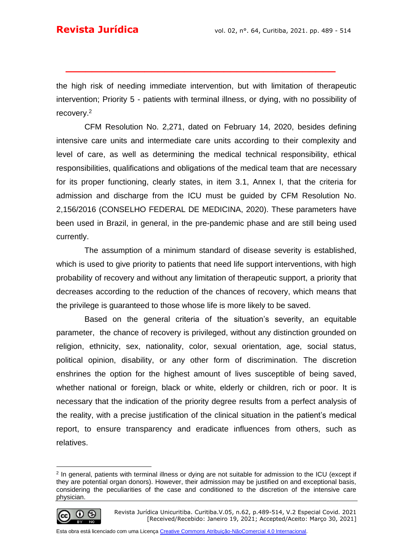the high risk of needing immediate intervention, but with limitation of therapeutic intervention; Priority 5 - patients with terminal illness, or dying, with no possibility of recovery.<sup>2</sup>

**\_\_\_\_\_\_\_\_\_\_\_\_\_\_\_\_\_\_\_\_\_\_\_\_\_\_\_\_\_\_\_\_\_\_\_\_\_\_\_\_\_**

CFM Resolution No. 2,271, dated on February 14, 2020, besides defining intensive care units and intermediate care units according to their complexity and level of care, as well as determining the medical technical responsibility, ethical responsibilities, qualifications and obligations of the medical team that are necessary for its proper functioning, clearly states, in item 3.1, Annex I, that the criteria for admission and discharge from the ICU must be guided by CFM Resolution No. 2,156/2016 (CONSELHO FEDERAL DE MEDICINA, 2020). These parameters have been used in Brazil, in general, in the pre-pandemic phase and are still being used currently.

The assumption of a minimum standard of disease severity is established, which is used to give priority to patients that need life support interventions, with high probability of recovery and without any limitation of therapeutic support, a priority that decreases according to the reduction of the chances of recovery, which means that the privilege is guaranteed to those whose life is more likely to be saved.

Based on the general criteria of the situation's severity, an equitable parameter, the chance of recovery is privileged, without any distinction grounded on religion, ethnicity, sex, nationality, color, sexual orientation, age, social status, political opinion, disability, or any other form of discrimination. The discretion enshrines the option for the highest amount of lives susceptible of being saved, whether national or foreign, black or white, elderly or children, rich or poor. It is necessary that the indication of the priority degree results from a perfect analysis of the reality, with a precise justification of the clinical situation in the patient's medical report, to ensure transparency and eradicate influences from others, such as relatives.

<sup>2</sup> In general, patients with terminal illness or dying are not suitable for admission to the ICU (except if they are potential organ donors). However, their admission may be justified on and exceptional basis, considering the peculiarities of the case and conditioned to the discretion of the intensive care physician.



Revista Jurídica Unicuritiba. Curitiba.V.05, n.62, p.489-514, V.2 Especial Covid. 2021 [Received/Recebido: Janeiro 19, 2021; Accepted/Aceito: Março 30, 2021]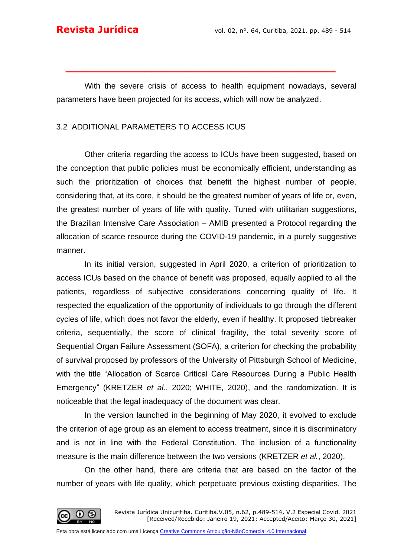With the severe crisis of access to health equipment nowadays, several parameters have been projected for its access, which will now be analyzed.

**\_\_\_\_\_\_\_\_\_\_\_\_\_\_\_\_\_\_\_\_\_\_\_\_\_\_\_\_\_\_\_\_\_\_\_\_\_\_\_\_\_**

### 3.2 ADDITIONAL PARAMETERS TO ACCESS ICUS

Other criteria regarding the access to ICUs have been suggested, based on the conception that public policies must be economically efficient, understanding as such the prioritization of choices that benefit the highest number of people, considering that, at its core, it should be the greatest number of years of life or, even, the greatest number of years of life with quality. Tuned with utilitarian suggestions, the Brazilian Intensive Care Association – AMIB presented a Protocol regarding the allocation of scarce resource during the COVID-19 pandemic, in a purely suggestive manner.

In its initial version, suggested in April 2020, a criterion of prioritization to access ICUs based on the chance of benefit was proposed, equally applied to all the patients, regardless of subjective considerations concerning quality of life. It respected the equalization of the opportunity of individuals to go through the different cycles of life, which does not favor the elderly, even if healthy. It proposed tiebreaker criteria, sequentially, the score of clinical fragility, the total severity score of Sequential Organ Failure Assessment (SOFA), a criterion for checking the probability of survival proposed by professors of the University of Pittsburgh School of Medicine, with the title "Allocation of Scarce Critical Care Resources During a Public Health Emergency" (KRETZER *et al.*, 2020; WHITE, 2020), and the randomization. It is noticeable that the legal inadequacy of the document was clear.

In the version launched in the beginning of May 2020, it evolved to exclude the criterion of age group as an element to access treatment, since it is discriminatory and is not in line with the Federal Constitution. The inclusion of a functionality measure is the main difference between the two versions (KRETZER *et al.*, 2020).

On the other hand, there are criteria that are based on the factor of the number of years with life quality, which perpetuate previous existing disparities. The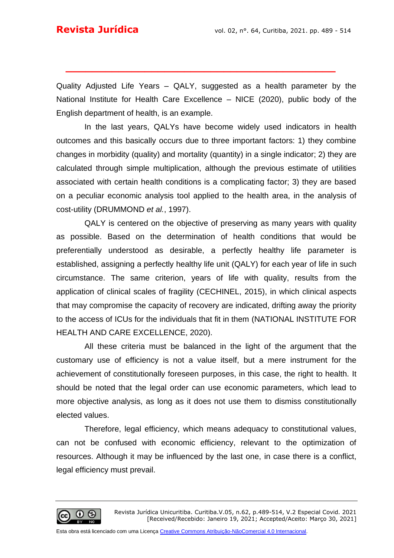Quality Adjusted Life Years – QALY, suggested as a health parameter by the National Institute for Health Care Excellence – NICE (2020), public body of the English department of health, is an example.

**\_\_\_\_\_\_\_\_\_\_\_\_\_\_\_\_\_\_\_\_\_\_\_\_\_\_\_\_\_\_\_\_\_\_\_\_\_\_\_\_\_**

In the last years, QALYs have become widely used indicators in health outcomes and this basically occurs due to three important factors: 1) they combine changes in morbidity (quality) and mortality (quantity) in a single indicator; 2) they are calculated through simple multiplication, although the previous estimate of utilities associated with certain health conditions is a complicating factor; 3) they are based on a peculiar economic analysis tool applied to the health area, in the analysis of cost-utility (DRUMMOND *et al.*, 1997).

QALY is centered on the objective of preserving as many years with quality as possible. Based on the determination of health conditions that would be preferentially understood as desirable, a perfectly healthy life parameter is established, assigning a perfectly healthy life unit (QALY) for each year of life in such circumstance. The same criterion, years of life with quality, results from the application of clinical scales of fragility (CECHINEL, 2015), in which clinical aspects that may compromise the capacity of recovery are indicated, drifting away the priority to the access of ICUs for the individuals that fit in them (NATIONAL INSTITUTE FOR HEALTH AND CARE EXCELLENCE, 2020).

All these criteria must be balanced in the light of the argument that the customary use of efficiency is not a value itself, but a mere instrument for the achievement of constitutionally foreseen purposes, in this case, the right to health. It should be noted that the legal order can use economic parameters, which lead to more objective analysis, as long as it does not use them to dismiss constitutionally elected values.

Therefore, legal efficiency, which means adequacy to constitutional values, can not be confused with economic efficiency, relevant to the optimization of resources. Although it may be influenced by the last one, in case there is a conflict, legal efficiency must prevail.

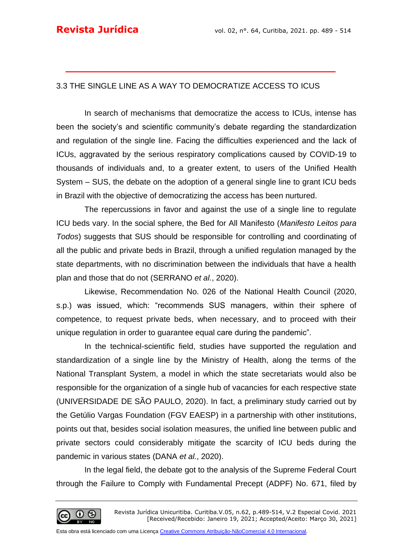## 3.3 THE SINGLE LINE AS A WAY TO DEMOCRATIZE ACCESS TO ICUS

**\_\_\_\_\_\_\_\_\_\_\_\_\_\_\_\_\_\_\_\_\_\_\_\_\_\_\_\_\_\_\_\_\_\_\_\_\_\_\_\_\_**

In search of mechanisms that democratize the access to ICUs, intense has been the society's and scientific community's debate regarding the standardization and regulation of the single line. Facing the difficulties experienced and the lack of ICUs, aggravated by the serious respiratory complications caused by COVID-19 to thousands of individuals and, to a greater extent, to users of the Unified Health System – SUS, the debate on the adoption of a general single line to grant ICU beds in Brazil with the objective of democratizing the access has been nurtured.

The repercussions in favor and against the use of a single line to regulate ICU beds vary. In the social sphere, the Bed for All Manifesto (*Manifesto Leitos para Todos*) suggests that SUS should be responsible for controlling and coordinating of all the public and private beds in Brazil, through a unified regulation managed by the state departments, with no discrimination between the individuals that have a health plan and those that do not (SERRANO *et al.*, 2020).

Likewise, Recommendation No. 026 of the National Health Council (2020, s.p.) was issued, which: "recommends SUS managers, within their sphere of competence, to request private beds, when necessary, and to proceed with their unique regulation in order to guarantee equal care during the pandemic".

In the technical-scientific field, studies have supported the regulation and standardization of a single line by the Ministry of Health, along the terms of the National Transplant System, a model in which the state secretariats would also be responsible for the organization of a single hub of vacancies for each respective state (UNIVERSIDADE DE SÃO PAULO, 2020). In fact, a preliminary study carried out by the Getúlio Vargas Foundation (FGV EAESP) in a partnership with other institutions, points out that, besides social isolation measures, the unified line between public and private sectors could considerably mitigate the scarcity of ICU beds during the pandemic in various states (DANA *et al.*, 2020).

In the legal field, the debate got to the analysis of the Supreme Federal Court through the Failure to Comply with Fundamental Precept (ADPF) No. 671, filed by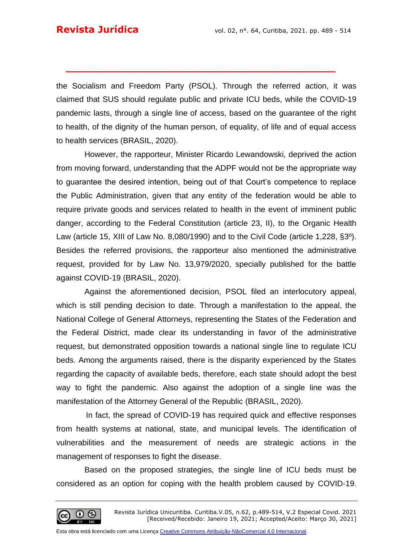the Socialism and Freedom Party (PSOL). Through the referred action, it was claimed that SUS should regulate public and private ICU beds, while the COVID-19 pandemic lasts, through a single line of access, based on the guarantee of the right to health, of the dignity of the human person, of equality, of life and of equal access to health services (BRASIL, 2020).

**\_\_\_\_\_\_\_\_\_\_\_\_\_\_\_\_\_\_\_\_\_\_\_\_\_\_\_\_\_\_\_\_\_\_\_\_\_\_\_\_\_**

However, the rapporteur, Minister Ricardo Lewandowski, deprived the action from moving forward, understanding that the ADPF would not be the appropriate way to guarantee the desired intention, being out of that Court's competence to replace the Public Administration, given that any entity of the federation would be able to require private goods and services related to health in the event of imminent public danger, according to the Federal Constitution (article 23, II), to the Organic Health Law (article 15, XIII of Law No. 8,080/1990) and to the Civil Code (article 1,228, §3º). Besides the referred provisions, the rapporteur also mentioned the administrative request, provided for by Law No. 13,979/2020, specially published for the battle against COVID-19 (BRASIL, 2020).

Against the aforementioned decision, PSOL filed an interlocutory appeal, which is still pending decision to date. Through a manifestation to the appeal, the National College of General Attorneys, representing the States of the Federation and the Federal District, made clear its understanding in favor of the administrative request, but demonstrated opposition towards a national single line to regulate ICU beds. Among the arguments raised, there is the disparity experienced by the States regarding the capacity of available beds, therefore, each state should adopt the best way to fight the pandemic. Also against the adoption of a single line was the manifestation of the Attorney General of the Republic (BRASIL, 2020).

In fact, the spread of COVID-19 has required quick and effective responses from health systems at national, state, and municipal levels. The identification of vulnerabilities and the measurement of needs are strategic actions in the management of responses to fight the disease.

Based on the proposed strategies, the single line of ICU beds must be considered as an option for coping with the health problem caused by COVID-19.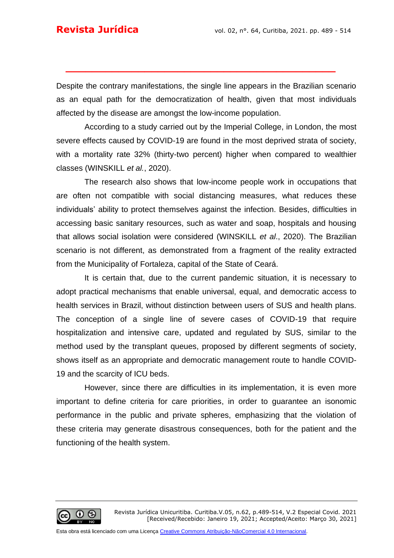Despite the contrary manifestations, the single line appears in the Brazilian scenario as an equal path for the democratization of health, given that most individuals affected by the disease are amongst the low-income population.

**\_\_\_\_\_\_\_\_\_\_\_\_\_\_\_\_\_\_\_\_\_\_\_\_\_\_\_\_\_\_\_\_\_\_\_\_\_\_\_\_\_**

According to a study carried out by the Imperial College, in London, the most severe effects caused by COVID-19 are found in the most deprived strata of society, with a mortality rate 32% (thirty-two percent) higher when compared to wealthier classes (WINSKILL *et al.*, 2020).

The research also shows that low-income people work in occupations that are often not compatible with social distancing measures, what reduces these individuals' ability to protect themselves against the infection. Besides, difficulties in accessing basic sanitary resources, such as water and soap, hospitals and housing that allows social isolation were considered (WINSKILL *et al*., 2020). The Brazilian scenario is not different, as demonstrated from a fragment of the reality extracted from the Municipality of Fortaleza, capital of the State of Ceará.

It is certain that, due to the current pandemic situation, it is necessary to adopt practical mechanisms that enable universal, equal, and democratic access to health services in Brazil, without distinction between users of SUS and health plans. The conception of a single line of severe cases of COVID-19 that require hospitalization and intensive care, updated and regulated by SUS, similar to the method used by the transplant queues, proposed by different segments of society, shows itself as an appropriate and democratic management route to handle COVID-19 and the scarcity of ICU beds.

However, since there are difficulties in its implementation, it is even more important to define criteria for care priorities, in order to guarantee an isonomic performance in the public and private spheres, emphasizing that the violation of these criteria may generate disastrous consequences, both for the patient and the functioning of the health system.

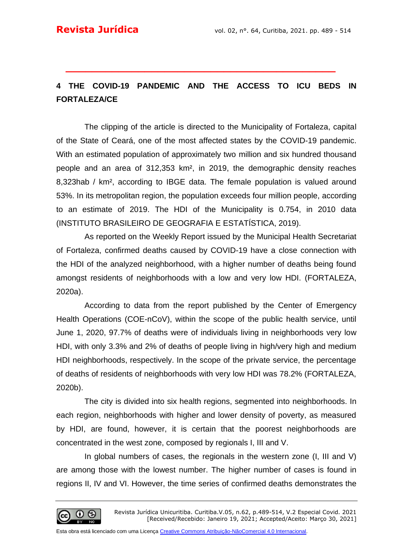## **4 THE COVID-19 PANDEMIC AND THE ACCESS TO ICU BEDS IN FORTALEZA/CE**

**\_\_\_\_\_\_\_\_\_\_\_\_\_\_\_\_\_\_\_\_\_\_\_\_\_\_\_\_\_\_\_\_\_\_\_\_\_\_\_\_\_**

The clipping of the article is directed to the Municipality of Fortaleza, capital of the State of Ceará, one of the most affected states by the COVID-19 pandemic. With an estimated population of approximately two million and six hundred thousand people and an area of 312,353 km², in 2019, the demographic density reaches 8,323hab / km², according to IBGE data. The female population is valued around 53%. In its metropolitan region, the population exceeds four million people, according to an estimate of 2019. The HDI of the Municipality is 0.754, in 2010 data (INSTITUTO BRASILEIRO DE GEOGRAFIA E ESTATÍSTICA, 2019).

As reported on the Weekly Report issued by the Municipal Health Secretariat of Fortaleza, confirmed deaths caused by COVID-19 have a close connection with the HDI of the analyzed neighborhood, with a higher number of deaths being found amongst residents of neighborhoods with a low and very low HDI. (FORTALEZA, 2020a).

According to data from the report published by the Center of Emergency Health Operations (COE-nCoV), within the scope of the public health service, until June 1, 2020, 97.7% of deaths were of individuals living in neighborhoods very low HDI, with only 3.3% and 2% of deaths of people living in high/very high and medium HDI neighborhoods, respectively. In the scope of the private service, the percentage of deaths of residents of neighborhoods with very low HDI was 78.2% (FORTALEZA, 2020b).

The city is divided into six health regions, segmented into neighborhoods. In each region, neighborhoods with higher and lower density of poverty, as measured by HDI, are found, however, it is certain that the poorest neighborhoods are concentrated in the west zone, composed by regionals I, III and V.

In global numbers of cases, the regionals in the western zone (I, III and V) are among those with the lowest number. The higher number of cases is found in regions II, IV and VI. However, the time series of confirmed deaths demonstrates the

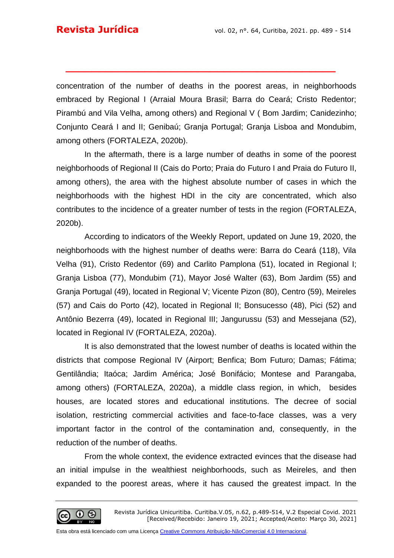concentration of the number of deaths in the poorest areas, in neighborhoods embraced by Regional I (Arraial Moura Brasil; Barra do Ceará; Cristo Redentor; Pirambú and Vila Velha, among others) and Regional V ( Bom Jardim; Canidezinho; Conjunto Ceará I and II; Genibaú; Granja Portugal; Granja Lisboa and Mondubim, among others (FORTALEZA, 2020b).

**\_\_\_\_\_\_\_\_\_\_\_\_\_\_\_\_\_\_\_\_\_\_\_\_\_\_\_\_\_\_\_\_\_\_\_\_\_\_\_\_\_**

In the aftermath, there is a large number of deaths in some of the poorest neighborhoods of Regional II (Cais do Porto; Praia do Futuro I and Praia do Futuro II, among others), the area with the highest absolute number of cases in which the neighborhoods with the highest HDI in the city are concentrated, which also contributes to the incidence of a greater number of tests in the region (FORTALEZA, 2020b).

According to indicators of the Weekly Report, updated on June 19, 2020, the neighborhoods with the highest number of deaths were: Barra do Ceará (118), Vila Velha (91), Cristo Redentor (69) and Carlito Pamplona (51), located in Regional I; Granja Lisboa (77), Mondubim (71), Mayor José Walter (63), Bom Jardim (55) and Granja Portugal (49), located in Regional V; Vicente Pizon (80), Centro (59), Meireles (57) and Cais do Porto (42), located in Regional II; Bonsucesso (48), Pici (52) and Antônio Bezerra (49), located in Regional III; Jangurussu (53) and Messejana (52), located in Regional IV (FORTALEZA, 2020a).

It is also demonstrated that the lowest number of deaths is located within the districts that compose Regional IV (Airport; Benfica; Bom Futuro; Damas; Fátima; Gentilândia; Itaóca; Jardim América; José Bonifácio; Montese and Parangaba, among others) (FORTALEZA, 2020a), a middle class region, in which, besides houses, are located stores and educational institutions. The decree of social isolation, restricting commercial activities and face-to-face classes, was a very important factor in the control of the contamination and, consequently, in the reduction of the number of deaths.

From the whole context, the evidence extracted evinces that the disease had an initial impulse in the wealthiest neighborhoods, such as Meireles, and then expanded to the poorest areas, where it has caused the greatest impact. In the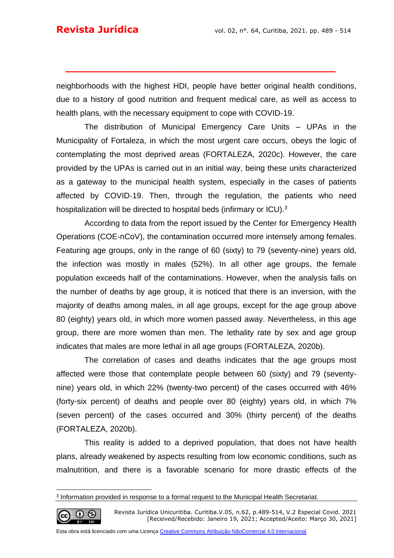neighborhoods with the highest HDI, people have better original health conditions, due to a history of good nutrition and frequent medical care, as well as access to health plans, with the necessary equipment to cope with COVID-19.

**\_\_\_\_\_\_\_\_\_\_\_\_\_\_\_\_\_\_\_\_\_\_\_\_\_\_\_\_\_\_\_\_\_\_\_\_\_\_\_\_\_**

The distribution of Municipal Emergency Care Units – UPAs in the Municipality of Fortaleza, in which the most urgent care occurs, obeys the logic of contemplating the most deprived areas (FORTALEZA, 2020c). However, the care provided by the UPAs is carried out in an initial way, being these units characterized as a gateway to the municipal health system, especially in the cases of patients affected by COVID-19. Then, through the regulation, the patients who need hospitalization will be directed to hospital beds (infirmary or ICU).<sup>3</sup>

According to data from the report issued by the Center for Emergency Health Operations (COE-nCoV), the contamination occurred more intensely among females. Featuring age groups, only in the range of 60 (sixty) to 79 (seventy-nine) years old, the infection was mostly in males (52%). In all other age groups, the female population exceeds half of the contaminations. However, when the analysis falls on the number of deaths by age group, it is noticed that there is an inversion, with the majority of deaths among males, in all age groups, except for the age group above 80 (eighty) years old, in which more women passed away. Nevertheless, in this age group, there are more women than men. The lethality rate by sex and age group indicates that males are more lethal in all age groups (FORTALEZA, 2020b).

The correlation of cases and deaths indicates that the age groups most affected were those that contemplate people between 60 (sixty) and 79 (seventynine) years old, in which 22% (twenty-two percent) of the cases occurred with 46% (forty-six percent) of deaths and people over 80 (eighty) years old, in which 7% (seven percent) of the cases occurred and 30% (thirty percent) of the deaths (FORTALEZA, 2020b).

This reality is added to a deprived population, that does not have health plans, already weakened by aspects resulting from low economic conditions, such as malnutrition, and there is a favorable scenario for more drastic effects of the

$$
\bigcircled{\mathbb{G}}\overset{\mathbb{O}}{\underset{\scriptscriptstyle{\mathbb{N}}}{\mathbb{O}}}\overset{\mathbb{O}}{\underset{\scriptscriptstyle{\mathbb{N}}}{\mathbb{O}}}
$$

Revista Jurídica Unicuritiba. Curitiba.V.05, n.62, p.489-514, V.2 Especial Covid. 2021 [Received/Recebido: Janeiro 19, 2021; Accepted/Aceito: Março 30, 2021]

<sup>3</sup> Information provided in response to a formal request to the Municipal Health Secretariat.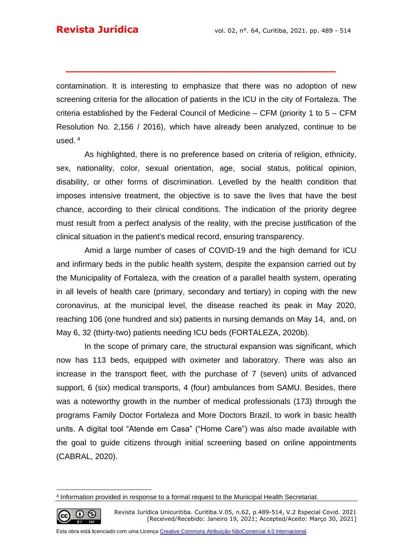contamination. It is interesting to emphasize that there was no adoption of new screening criteria for the allocation of patients in the ICU in the city of Fortaleza. The criteria established by the Federal Council of Medicine – CFM (priority 1 to 5 – CFM Resolution No. 2,156 / 2016), which have already been analyzed, continue to be used. <sup>4</sup>

**\_\_\_\_\_\_\_\_\_\_\_\_\_\_\_\_\_\_\_\_\_\_\_\_\_\_\_\_\_\_\_\_\_\_\_\_\_\_\_\_\_**

As highlighted, there is no preference based on criteria of religion, ethnicity, sex, nationality, color, sexual orientation, age, social status, political opinion, disability, or other forms of discrimination. Levelled by the health condition that imposes intensive treatment, the objective is to save the lives that have the best chance, according to their clinical conditions. The indication of the priority degree must result from a perfect analysis of the reality, with the precise justification of the clinical situation in the patient's medical record, ensuring transparency.

Amid a large number of cases of COVID-19 and the high demand for ICU and infirmary beds in the public health system, despite the expansion carried out by the Municipality of Fortaleza, with the creation of a parallel health system, operating in all levels of health care (primary, secondary and tertiary) in coping with the new coronavirus, at the municipal level, the disease reached its peak in May 2020, reaching 106 (one hundred and six) patients in nursing demands on May 14, and, on May 6, 32 (thirty-two) patients needing ICU beds (FORTALEZA, 2020b).

In the scope of primary care, the structural expansion was significant, which now has 113 beds, equipped with oximeter and laboratory. There was also an increase in the transport fleet, with the purchase of 7 (seven) units of advanced support, 6 (six) medical transports, 4 (four) ambulances from SAMU. Besides, there was a noteworthy growth in the number of medical professionals (173) through the programs Family Doctor Fortaleza and More Doctors Brazil, to work in basic health units. A digital tool "Atende em Casa" ("Home Care") was also made available with the goal to guide citizens through initial screening based on online appointments (CABRAL, 2020).

$$
\bigcircled{\mathbb{G}}\ \ \overset{\mathbb{O}}{\underset{\scriptscriptstyle{\mathbb{N}}}{\mathbb{O}}}\ \ \overset{\mathbb{O}}{\underset{\scriptscriptstyle{\mathbb{N}}}{\mathbb{O}}}\ \ \overset{\mathbb{O}}{\underset{\scriptscriptstyle{\mathbb{N}}}{\mathbb{O}}}
$$

Revista Jurídica Unicuritiba. Curitiba.V.05, n.62, p.489-514, V.2 Especial Covid. 2021 [Received/Recebido: Janeiro 19, 2021; Accepted/Aceito: Março 30, 2021]

<sup>4</sup> Information provided in response to a formal request to the Municipal Health Secretariat.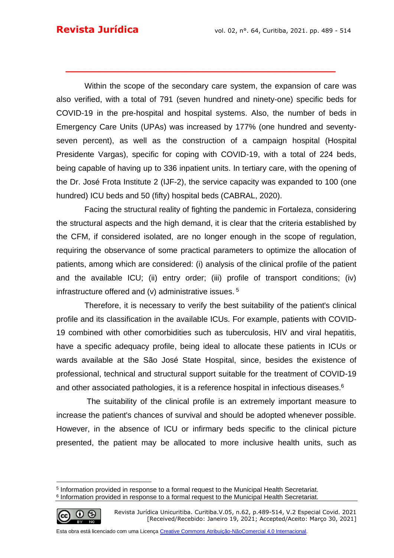Within the scope of the secondary care system, the expansion of care was also verified, with a total of 791 (seven hundred and ninety-one) specific beds for COVID-19 in the pre-hospital and hospital systems. Also, the number of beds in Emergency Care Units (UPAs) was increased by 177% (one hundred and seventyseven percent), as well as the construction of a campaign hospital (Hospital Presidente Vargas), specific for coping with COVID-19, with a total of 224 beds, being capable of having up to 336 inpatient units. In tertiary care, with the opening of the Dr. José Frota Institute 2 (IJF-2), the service capacity was expanded to 100 (one hundred) ICU beds and 50 (fifty) hospital beds (CABRAL, 2020).

**\_\_\_\_\_\_\_\_\_\_\_\_\_\_\_\_\_\_\_\_\_\_\_\_\_\_\_\_\_\_\_\_\_\_\_\_\_\_\_\_\_**

Facing the structural reality of fighting the pandemic in Fortaleza, considering the structural aspects and the high demand, it is clear that the criteria established by the CFM, if considered isolated, are no longer enough in the scope of regulation, requiring the observance of some practical parameters to optimize the allocation of patients, among which are considered: (i) analysis of the clinical profile of the patient and the available ICU; (ii) entry order; (iii) profile of transport conditions; (iv) infrastructure offered and (v) administrative issues. <sup>5</sup>

Therefore, it is necessary to verify the best suitability of the patient's clinical profile and its classification in the available ICUs. For example, patients with COVID-19 combined with other comorbidities such as tuberculosis, HIV and viral hepatitis, have a specific adequacy profile, being ideal to allocate these patients in ICUs or wards available at the São José State Hospital, since, besides the existence of professional, technical and structural support suitable for the treatment of COVID-19 and other associated pathologies, it is a reference hospital in infectious diseases.<sup>6</sup>

The suitability of the clinical profile is an extremely important measure to increase the patient's chances of survival and should be adopted whenever possible. However, in the absence of ICU or infirmary beds specific to the clinical picture presented, the patient may be allocated to more inclusive health units, such as

$$
\textcircled{\tiny{6}}
$$

<sup>5</sup> Information provided in response to a formal request to the Municipal Health Secretariat.

<sup>&</sup>lt;sup>6</sup> Information provided in response to a formal request to the Municipal Health Secretariat.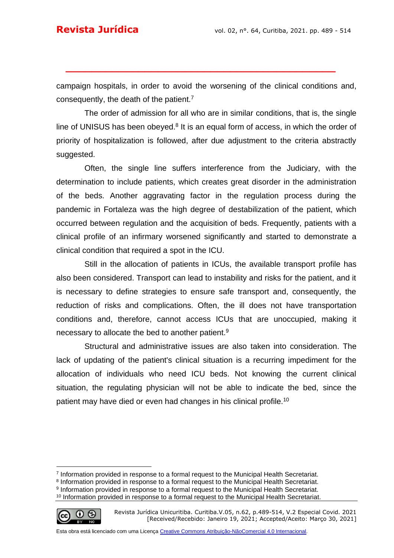campaign hospitals, in order to avoid the worsening of the clinical conditions and, consequently, the death of the patient.<sup>7</sup>

**\_\_\_\_\_\_\_\_\_\_\_\_\_\_\_\_\_\_\_\_\_\_\_\_\_\_\_\_\_\_\_\_\_\_\_\_\_\_\_\_\_**

The order of admission for all who are in similar conditions, that is, the single line of UNISUS has been obeyed. $8$  It is an equal form of access, in which the order of priority of hospitalization is followed, after due adjustment to the criteria abstractly suggested.

Often, the single line suffers interference from the Judiciary, with the determination to include patients, which creates great disorder in the administration of the beds. Another aggravating factor in the regulation process during the pandemic in Fortaleza was the high degree of destabilization of the patient, which occurred between regulation and the acquisition of beds. Frequently, patients with a clinical profile of an infirmary worsened significantly and started to demonstrate a clinical condition that required a spot in the ICU.

Still in the allocation of patients in ICUs, the available transport profile has also been considered. Transport can lead to instability and risks for the patient, and it is necessary to define strategies to ensure safe transport and, consequently, the reduction of risks and complications. Often, the ill does not have transportation conditions and, therefore, cannot access ICUs that are unoccupied, making it necessary to allocate the bed to another patient.<sup>9</sup>

Structural and administrative issues are also taken into consideration. The lack of updating of the patient's clinical situation is a recurring impediment for the allocation of individuals who need ICU beds. Not knowing the current clinical situation, the regulating physician will not be able to indicate the bed, since the patient may have died or even had changes in his clinical profile.<sup>10</sup>

$$
\bigcirc \limits_*
$$

<sup>7</sup> Information provided in response to a formal request to the Municipal Health Secretariat.

<sup>&</sup>lt;sup>8</sup> Information provided in response to a formal request to the Municipal Health Secretariat.

<sup>9</sup> Information provided in response to a formal request to the Municipal Health Secretariat.

<sup>&</sup>lt;sup>10</sup> Information provided in response to a formal request to the Municipal Health Secretariat.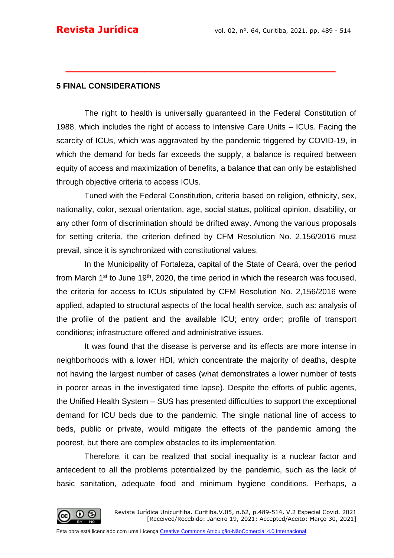#### **5 FINAL CONSIDERATIONS**

The right to health is universally guaranteed in the Federal Constitution of 1988, which includes the right of access to Intensive Care Units – ICUs. Facing the scarcity of ICUs, which was aggravated by the pandemic triggered by COVID-19, in which the demand for beds far exceeds the supply, a balance is required between equity of access and maximization of benefits, a balance that can only be established through objective criteria to access ICUs.

**\_\_\_\_\_\_\_\_\_\_\_\_\_\_\_\_\_\_\_\_\_\_\_\_\_\_\_\_\_\_\_\_\_\_\_\_\_\_\_\_\_**

Tuned with the Federal Constitution, criteria based on religion, ethnicity, sex, nationality, color, sexual orientation, age, social status, political opinion, disability, or any other form of discrimination should be drifted away. Among the various proposals for setting criteria, the criterion defined by CFM Resolution No. 2,156/2016 must prevail, since it is synchronized with constitutional values.

In the Municipality of Fortaleza, capital of the State of Ceará, over the period from March  $1<sup>st</sup>$  to June  $19<sup>th</sup>$ , 2020, the time period in which the research was focused, the criteria for access to ICUs stipulated by CFM Resolution No. 2,156/2016 were applied, adapted to structural aspects of the local health service, such as: analysis of the profile of the patient and the available ICU; entry order; profile of transport conditions; infrastructure offered and administrative issues.

It was found that the disease is perverse and its effects are more intense in neighborhoods with a lower HDI, which concentrate the majority of deaths, despite not having the largest number of cases (what demonstrates a lower number of tests in poorer areas in the investigated time lapse). Despite the efforts of public agents, the Unified Health System – SUS has presented difficulties to support the exceptional demand for ICU beds due to the pandemic. The single national line of access to beds, public or private, would mitigate the effects of the pandemic among the poorest, but there are complex obstacles to its implementation.

Therefore, it can be realized that social inequality is a nuclear factor and antecedent to all the problems potentialized by the pandemic, such as the lack of basic sanitation, adequate food and minimum hygiene conditions. Perhaps, a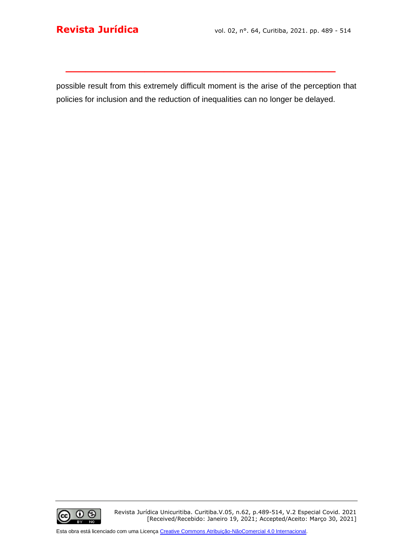possible result from this extremely difficult moment is the arise of the perception that policies for inclusion and the reduction of inequalities can no longer be delayed.

**\_\_\_\_\_\_\_\_\_\_\_\_\_\_\_\_\_\_\_\_\_\_\_\_\_\_\_\_\_\_\_\_\_\_\_\_\_\_\_\_\_**



Revista Jurídica Unicuritiba. Curitiba.V.05, n.62, p.489-514, V.2 Especial Covid. 2021 [Received/Recebido: Janeiro 19, 2021; Accepted/Aceito: Março 30, 2021]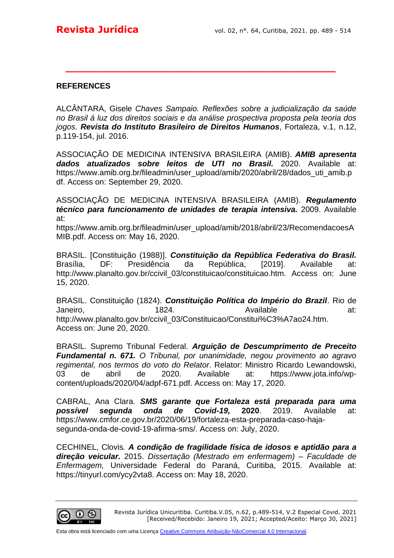#### **REFERENCES**

ALCÂNTARA, Gisele *Chaves Sampaio. Reflexões sobre a judicialização da saúde no Brasil á luz dos direitos sociais e da análise prospectiva proposta pela teoria dos jogos. Revista do Instituto Brasileiro de Direitos Humanos*, Fortaleza, v.1, n.12, p.119-154, jul. 2016.

**\_\_\_\_\_\_\_\_\_\_\_\_\_\_\_\_\_\_\_\_\_\_\_\_\_\_\_\_\_\_\_\_\_\_\_\_\_\_\_\_\_**

ASSOCIAÇÃO DE MEDICINA INTENSIVA BRASILEIRA (AMIB). *AMIB apresenta dados atualizados sobre leitos de UTI no Brasil.* 2020. Available at: https://www.amib.org.br/fileadmin/user\_upload/amib/2020/abril/28/dados\_uti\_amib.p df. Access on: September 29, 2020.

ASSOCIAÇÃO DE MEDICINA INTENSIVA BRASILEIRA (AMIB). *Regulamento técnico para funcionamento de unidades de terapia intensiva.* 2009. Available at:

https://www.amib.org.br/fileadmin/user\_upload/amib/2018/abril/23/RecomendacoesA MIB.pdf. Access on: May 16, 2020.

BRASIL. [Constituição (1988)]. *Constituição da República Federativa do Brasil.* Brasília, DF: Presidência da República, [2019]. Available at: http://www.planalto.gov.br/ccivil\_03/constituicao/constituicao.htm. Access on: June 15, 2020.

BRASIL. Constituição (1824). *Constituição Política do Império do Brazil*. Rio de Janeiro, and the 1824. Available at: http://www.planalto.gov.br/ccivil\_03/Constituicao/Constitui%C3%A7ao24.htm. Access on: June 20, 2020.

BRASIL. Supremo Tribunal Federal. *Arguição de Descumprimento de Preceito Fundamental n. 671. O Tribunal, por unanimidade, negou provimento ao agravo regimental, nos termos do voto do Relator*. Relator: Ministro Ricardo Lewandowski, 03 de abril de 2020. Available at: https://www.jota.info/wpcontent/uploads/2020/04/adpf-671.pdf. Access on: May 17, 2020.

CABRAL, Ana Clara. *SMS garante que Fortaleza está preparada para uma possível segunda onda de Covid-19,* **2020**. 2019. Available at: https://www.cmfor.ce.gov.br/2020/06/19/fortaleza-esta-preparada-caso-hajasegunda-onda-de-covid-19-afirma-sms/. Access on: July, 2020.

CECHINEL, Clovis*. A condição de fragilidade física de idosos e aptidão para a direção veicular.* 2015. *Dissertação (Mestrado em enfermagem) – Faculdade de Enfermagem,* Universidade Federal do Paraná, Curitiba, 2015. Available at: https://tinyurl.com/ycy2vta8. Access on: May 18, 2020.

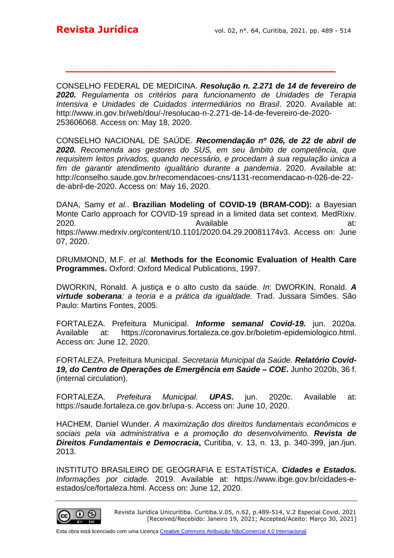CONSELHO FEDERAL DE MEDICINA. *Resolução n. 2.271 de 14 de fevereiro de 2020. Regulamenta os critérios para funcionamento de Unidades de Terapia Intensiva e Unidades de Cuidados intermediários no Brasil*. 2020. Available at: http://www.in.gov.br/web/dou/-/resolucao-n-2.271-de-14-de-fevereiro-de-2020- 253606068. Access on: May 18, 2020.

**\_\_\_\_\_\_\_\_\_\_\_\_\_\_\_\_\_\_\_\_\_\_\_\_\_\_\_\_\_\_\_\_\_\_\_\_\_\_\_\_\_**

CONSELHO NACIONAL DE SAÚDE. *Recomendação nº 026, de 22 de abril de 2020. Recomenda aos gestores do SUS, em seu âmbito de competência, que requisitem leitos privados, quando necessário, e procedam à sua regulação única a fim de garantir atendimento igualitário durante a pandemia*. 2020. Available at: http://conselho.saude.gov.br/recomendacoes-cns/1131-recomendacao-n-026-de-22 de-abril-de-2020. Access on: May 16, 2020.

DANA, Samy *et al.*. **Brazilian Modeling of COVID-19 (BRAM-COD):** a Bayesian Monte Carlo approach for COVID-19 spread in a limited data set context. MedRixiv. 2020. Available at: https://www.medrxiv.org/content/10.1101/2020.04.29.20081174v3. Access on: June 07, 2020.

DRUMMOND, M.F. *et al.* **Methods for the Economic Evaluation of Health Care Programmes.** Oxford: Oxford Medical Publications, 1997.

DWORKIN, Ronald. A justiça e o alto custo da saúde*. In*: DWORKIN, Ronald. *A virtude soberana: a teoria e a prática da igualdade.* Trad. Jussara Simões. São Paulo: Martins Fontes, 2005.

FORTALEZA. Prefeitura Municipal. *Informe semanal Covid-19.* jun. 2020a. Available at: [https://coronavirus.fortaleza.ce.gov.br/boletim-epidemiologico.html.](https://coronavirus.fortaleza.ce.gov.br/boletim-epidemiologico.html) Access on: June 12, 2020.

FORTALEZA. Prefeitura Municipal. *Secretaria Municipal da Saúde. Relatório Covid-19, do Centro de Operações de Emergência em Saúde – COE***.** Junho 2020b, 36 f. (internal circulation).

FORTALEZA. *Prefeitura Municipal. UPAS***.** jun. 2020c. Available at: https://saude.fortaleza.ce.gov.br/upa-s. Access on: June 10, 2020.

HACHEM, Daniel Wunder. *A maximização dos direitos fundamentais econômicos e sociais pela via administrativa e a promoção do desenvolvimento. Revista de Direitos Fundamentais e Democracia***,** Curitiba, v. 13, n. 13, p. 340-399, jan./jun. 2013.

INSTITUTO BRASILEIRO DE GEOGRAFIA E ESTATÍSTICA. *Cidades e Estados. Informações por cidade.* 2019. Available at: https://www.ibge.gov.br/cidades-eestados/ce/fortaleza.html. Access on: June 12, 2020.

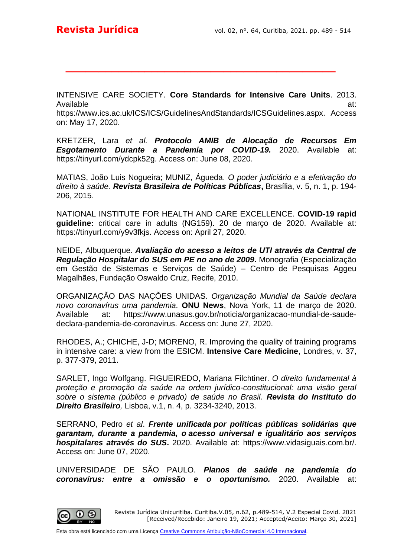INTENSIVE CARE SOCIETY. **Core Standards for Intensive Care Units**. 2013. Available at:

**\_\_\_\_\_\_\_\_\_\_\_\_\_\_\_\_\_\_\_\_\_\_\_\_\_\_\_\_\_\_\_\_\_\_\_\_\_\_\_\_\_**

https://www.ics.ac.uk/ICS/ICS/GuidelinesAndStandards/ICSGuidelines.aspx. Access on: May 17, 2020.

KRETZER, Lara *et al. Protocolo AMIB de Alocação de Recursos Em Esgotamento Durante a Pandemia por COVID-19.* 2020. Available at: https://tinyurl.com/ydcpk52g. Access on: June 08, 2020.

MATIAS, João Luis Nogueira; MUNIZ, Águeda. *O poder judiciário e a efetivação do direito à saúde. Revista Brasileira de Políticas Públicas***,** Brasília, v. 5, n. 1, p. 194- 206, 2015.

NATIONAL INSTITUTE FOR HEALTH AND CARE EXCELLENCE. **COVID-19 rapid guideline:** critical care in adults (NG159). 20 de março de 2020. Available at: https://tinyurl.com/y9v3fkjs. Access on: April 27, 2020.

NEIDE, Albuquerque. *Avaliação do acesso a leitos de UTI através da Central de Regulação Hospitalar do SUS em PE no ano de 2009***.** Monografia (Especialização em Gestão de Sistemas e Serviços de Saúde) – Centro de Pesquisas Aggeu Magalhães, Fundação Oswaldo Cruz, Recife, 2010.

ORGANIZAÇÃO DAS NAÇÕES UNIDAS. *Organização Mundial da Saúde declara novo coronavírus uma pandemia.* **ONU News**, Nova York, 11 de março de 2020. Available at: https://www.unasus.gov.br/noticia/organizacao-mundial-de-saudedeclara-pandemia-de-coronavirus. Access on: June 27, 2020.

RHODES, A.; CHICHE, J-D; MORENO, R. Improving the quality of training programs in intensive care: a view from the ESICM. **Intensive Care Medicine**, Londres, v. 37, p. 377-379, 2011.

SARLET, Ingo Wolfgang. FIGUEIREDO, Mariana Filchtiner. *O direito fundamental à proteção e promoção da saúde na ordem jurídico-constitucional: uma visão geral sobre o sistema (público e privado) de saúde no Brasil. Revista do Instituto do Direito Brasileiro,* Lisboa, v.1, n. 4, p. 3234-3240, 2013.

SERRANO, Pedro *et al*. *Frente unificada por políticas públicas solidárias que garantam, durante a pandemia, o acesso universal e igualitário aos serviços hospitalares através do SUS***.** 2020. Available at: https://www.vidasiguais.com.br/. Access on: June 07, 2020.

UNIVERSIDADE DE SÃO PAULO. *Planos de saúde na pandemia do coronavírus: entre a omissão e o oportunismo.* 2020. Available at: